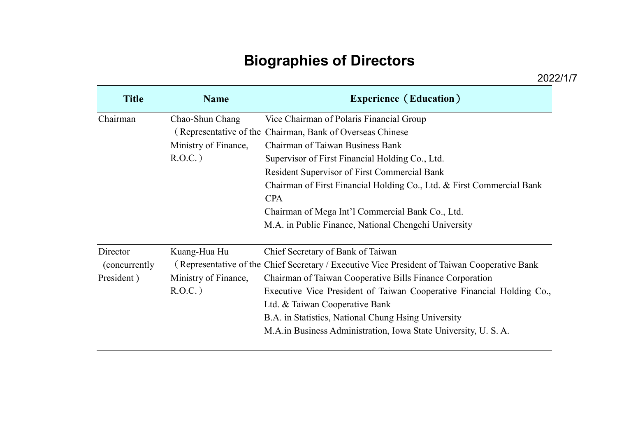## **Biographies of Directors**

| <b>Title</b>   | <b>Name</b>          | <b>Experience (Education)</b>                                                                |
|----------------|----------------------|----------------------------------------------------------------------------------------------|
| Chairman       | Chao-Shun Chang      | Vice Chairman of Polaris Financial Group                                                     |
|                |                      | (Representative of the Chairman, Bank of Overseas Chinese                                    |
|                | Ministry of Finance, | <b>Chairman of Taiwan Business Bank</b>                                                      |
|                | $R.O.C.$ )           | Supervisor of First Financial Holding Co., Ltd.                                              |
|                |                      | Resident Supervisor of First Commercial Bank                                                 |
|                |                      | Chairman of First Financial Holding Co., Ltd. & First Commercial Bank                        |
|                |                      | <b>CPA</b>                                                                                   |
|                |                      | Chairman of Mega Int'l Commercial Bank Co., Ltd.                                             |
|                |                      | M.A. in Public Finance, National Chengchi University                                         |
| Director       | Kuang-Hua Hu         | Chief Secretary of Bank of Taiwan                                                            |
| (concurrently) |                      | (Representative of the Chief Secretary / Executive Vice President of Taiwan Cooperative Bank |
| President)     | Ministry of Finance, | Chairman of Taiwan Cooperative Bills Finance Corporation                                     |
|                | $R.O.C.$ )           | Executive Vice President of Taiwan Cooperative Financial Holding Co.,                        |
|                |                      | Ltd. & Taiwan Cooperative Bank                                                               |
|                |                      | B.A. in Statistics, National Chung Hsing University                                          |
|                |                      | M.A. in Business Administration, Iowa State University, U.S.A.                               |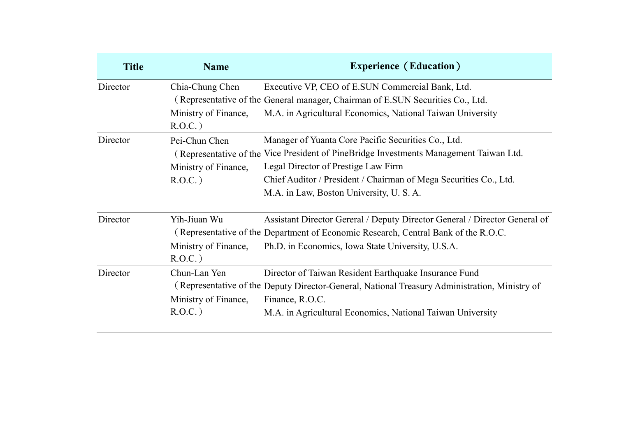| <b>Title</b> | <b>Name</b>          | <b>Experience (Education)</b>                                                                 |
|--------------|----------------------|-----------------------------------------------------------------------------------------------|
| Director     | Chia-Chung Chen      | Executive VP, CEO of E.SUN Commercial Bank, Ltd.                                              |
|              |                      | (Representative of the General manager, Chairman of E.SUN Securities Co., Ltd.                |
|              | Ministry of Finance, | M.A. in Agricultural Economics, National Taiwan University                                    |
|              | $R.O.C.$ )           |                                                                                               |
| Director     | Pei-Chun Chen        | Manager of Yuanta Core Pacific Securities Co., Ltd.                                           |
|              |                      | (Representative of the Vice President of PineBridge Investments Management Taiwan Ltd.        |
|              | Ministry of Finance, | Legal Director of Prestige Law Firm                                                           |
|              | $R.O.C.$ )           | Chief Auditor / President / Chairman of Mega Securities Co., Ltd.                             |
|              |                      | M.A. in Law, Boston University, U.S.A.                                                        |
| Director     | Yih-Jiuan Wu         | Assistant Director Gereral / Deputy Director General / Director General of                    |
|              |                      | (Representative of the Department of Economic Research, Central Bank of the R.O.C.            |
|              | Ministry of Finance, | Ph.D. in Economics, Iowa State University, U.S.A.                                             |
|              | $R.O.C.$ )           |                                                                                               |
| Director     | Chun-Lan Yen         | Director of Taiwan Resident Earthquake Insurance Fund                                         |
|              |                      | (Representative of the Deputy Director-General, National Treasury Administration, Ministry of |
|              | Ministry of Finance, | Finance, R.O.C.                                                                               |
|              | $R.O.C.$ )           | M.A. in Agricultural Economics, National Taiwan University                                    |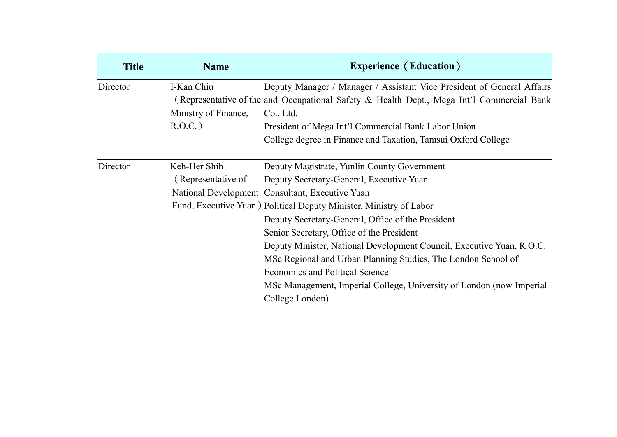| <b>Title</b> | <b>Name</b>          | <b>Experience (Education)</b>                                                             |
|--------------|----------------------|-------------------------------------------------------------------------------------------|
| Director     | I-Kan Chiu           | Deputy Manager / Manager / Assistant Vice President of General Affairs                    |
|              |                      | (Representative of the and Occupational Safety & Health Dept., Mega Int'l Commercial Bank |
|              | Ministry of Finance, | Co., Ltd.                                                                                 |
|              | $R.O.C.$ )           | President of Mega Int'l Commercial Bank Labor Union                                       |
|              |                      | College degree in Finance and Taxation, Tamsui Oxford College                             |
| Director     | Keh-Her Shih         | Deputy Magistrate, Yunlin County Government                                               |
|              | (Representative of   | Deputy Secretary-General, Executive Yuan                                                  |
|              |                      | National Development Consultant, Executive Yuan                                           |
|              |                      | Fund, Executive Yuan ) Political Deputy Minister, Ministry of Labor                       |
|              |                      | Deputy Secretary-General, Office of the President                                         |
|              |                      | Senior Secretary, Office of the President                                                 |
|              |                      | Deputy Minister, National Development Council, Executive Yuan, R.O.C.                     |
|              |                      | MSc Regional and Urban Planning Studies, The London School of                             |
|              |                      | <b>Economics and Political Science</b>                                                    |
|              |                      | MSc Management, Imperial College, University of London (now Imperial                      |
|              |                      | College London)                                                                           |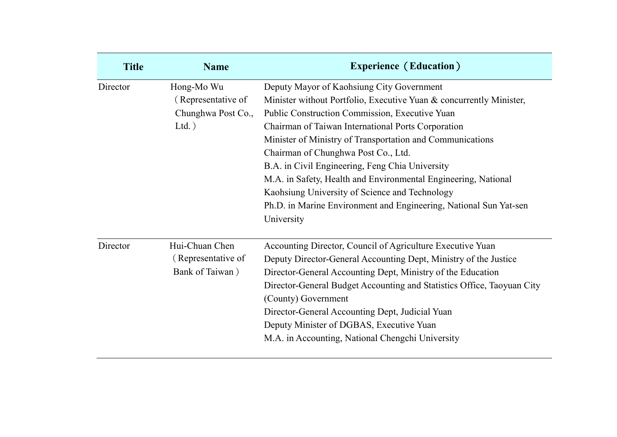| <b>Title</b> | <b>Name</b>                                                        | <b>Experience (Education)</b>                                                                                                                                                                                                                                                                                                                                                                                                                                                                                                                                                          |
|--------------|--------------------------------------------------------------------|----------------------------------------------------------------------------------------------------------------------------------------------------------------------------------------------------------------------------------------------------------------------------------------------------------------------------------------------------------------------------------------------------------------------------------------------------------------------------------------------------------------------------------------------------------------------------------------|
| Director     | Hong-Mo Wu<br>(Representative of<br>Chunghwa Post Co.,<br>$Ltd.$ ) | Deputy Mayor of Kaohsiung City Government<br>Minister without Portfolio, Executive Yuan & concurrently Minister,<br>Public Construction Commission, Executive Yuan<br>Chairman of Taiwan International Ports Corporation<br>Minister of Ministry of Transportation and Communications<br>Chairman of Chunghwa Post Co., Ltd.<br>B.A. in Civil Engineering, Feng Chia University<br>M.A. in Safety, Health and Environmental Engineering, National<br>Kaohsiung University of Science and Technology<br>Ph.D. in Marine Environment and Engineering, National Sun Yat-sen<br>University |
| Director     | Hui-Chuan Chen<br>(Representative of<br>Bank of Taiwan)            | Accounting Director, Council of Agriculture Executive Yuan<br>Deputy Director-General Accounting Dept, Ministry of the Justice<br>Director-General Accounting Dept, Ministry of the Education<br>Director-General Budget Accounting and Statistics Office, Taoyuan City<br>(County) Government<br>Director-General Accounting Dept, Judicial Yuan<br>Deputy Minister of DGBAS, Executive Yuan<br>M.A. in Accounting, National Chengchi University                                                                                                                                      |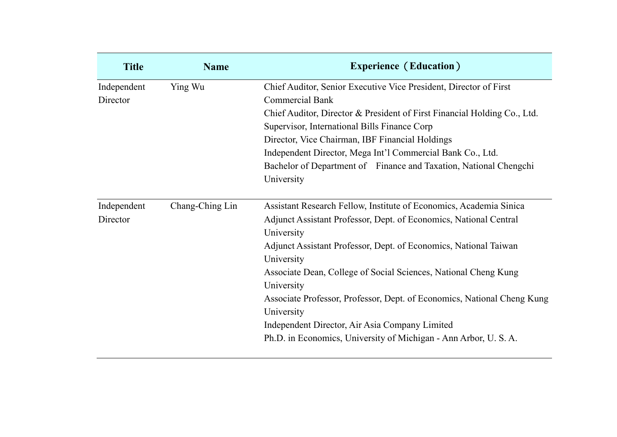| <b>Title</b> | <b>Name</b>     | <b>Experience (Education)</b>                                            |
|--------------|-----------------|--------------------------------------------------------------------------|
| Independent  | Ying Wu         | Chief Auditor, Senior Executive Vice President, Director of First        |
| Director     |                 | <b>Commercial Bank</b>                                                   |
|              |                 | Chief Auditor, Director & President of First Financial Holding Co., Ltd. |
|              |                 | Supervisor, International Bills Finance Corp                             |
|              |                 | Director, Vice Chairman, IBF Financial Holdings                          |
|              |                 | Independent Director, Mega Int'l Commercial Bank Co., Ltd.               |
|              |                 | Bachelor of Department of Finance and Taxation, National Chengchi        |
|              |                 | University                                                               |
|              |                 |                                                                          |
| Independent  | Chang-Ching Lin | Assistant Research Fellow, Institute of Economics, Academia Sinica       |
| Director     |                 | Adjunct Assistant Professor, Dept. of Economics, National Central        |
|              |                 | University                                                               |
|              |                 | Adjunct Assistant Professor, Dept. of Economics, National Taiwan         |
|              |                 | University                                                               |
|              |                 | Associate Dean, College of Social Sciences, National Cheng Kung          |
|              |                 | University                                                               |
|              |                 | Associate Professor, Professor, Dept. of Economics, National Cheng Kung  |
|              |                 | University                                                               |
|              |                 | Independent Director, Air Asia Company Limited                           |
|              |                 | Ph.D. in Economics, University of Michigan - Ann Arbor, U.S.A.           |